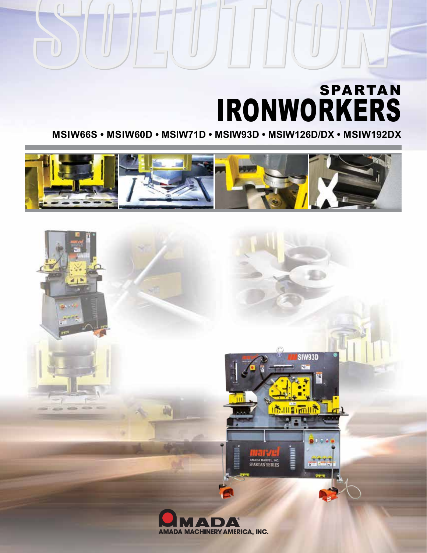# IRONWORKERS SPARTAN

**MSIW66S • MSIW60D • MSIW71D • MSIW93D • MSIW126D/DX • MSIW192DX**



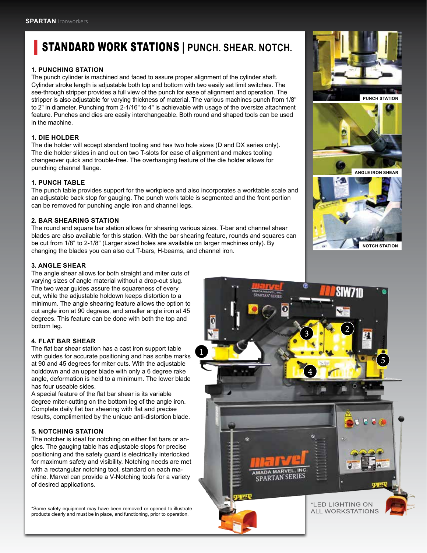# **STANDARD WORK STATIONS | PUNCH. SHEAR. NOTCH.**

#### **1. PUNCHING STATION**

The punch cylinder is machined and faced to assure proper alignment of the cylinder shaft. Cylinder stroke length is adjustable both top and bottom with two easily set limit switches. The see-through stripper provides a full view of the punch for ease of alignment and operation. The stripper is also adjustable for varying thickness of material. The various machines punch from 1/8" to 2" in diameter. Punching from 2-1/16" to 4" is achievable with usage of the oversize attachment feature. Punches and dies are easily interchangeable. Both round and shaped tools can be used in the machine.

### **1. DIE HOLDER**

The die holder will accept standard tooling and has two hole sizes (D and DX series only). The die holder slides in and out on two T-slots for ease of alignment and makes tooling changeover quick and trouble-free. The overhanging feature of the die holder allows for punching channel flange.

#### **1. PUNCH TABLE**

The punch table provides support for the workpiece and also incorporates a worktable scale and an adjustable back stop for gauging. The punch work table is segmented and the front portion can be removed for punching angle iron and channel legs.

#### **2. BAR SHEARING STATION**

The round and square bar station allows for shearing various sizes. T-bar and channel shear blades are also available for this station. With the bar shearing feature, rounds and squares can be cut from 1/8" to 2-1/8" (Larger sized holes are available on larger machines only). By changing the blades you can also cut T-bars, H-beams, and channel iron.

#### **3. ANGLE SHEAR**

The angle shear allows for both straight and miter cuts of varying sizes of angle material without a drop-out slug. The two wear guides assure the squareness of every cut, while the adjustable holdown keeps distortion to a minimum. The angle shearing feature allows the option to cut angle iron at 90 degrees, and smaller angle iron at 45 degrees. This feature can be done with both the top and bottom leg.

#### **4. FLAT BAR SHEAR**

The flat bar shear station has a cast iron support table with guides for accurate positioning and has scribe marks at 90 and 45 degrees for miter cuts. With the adjustable holddown and an upper blade with only a 6 degree rake angle, deformation is held to a minimum. The lower blade has four useable sides.

A special feature of the flat bar shear is its variable degree miter-cutting on the bottom leg of the angle iron. Complete daily flat bar shearing with flat and precise results, complimented by the unique anti-distortion blade.

#### **5. NOTCHING STATION**

The notcher is ideal for notching on either flat bars or angles. The gauging table has adjustable stops for precise positioning and the safety guard is electrically interlocked for maximum safety and visibility. Notching needs are met with a rectangular notching tool, standard on each machine. Marvel can provide a V-Notching tools for a variety of desired applications.

\*Some safety equipment may have been removed or opened to illustrate products clearly and must be in place, and functioning, prior to operation.



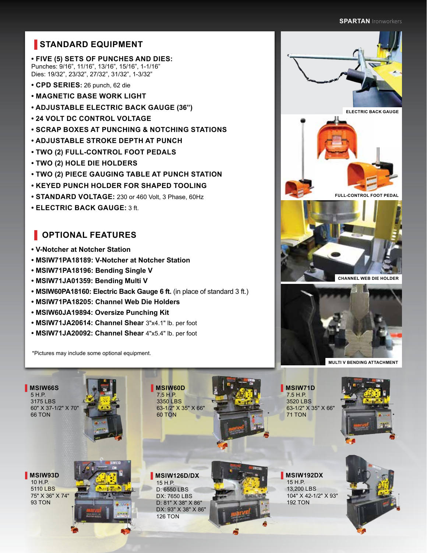#### **SPARTAN** Ironworkers **SPARTAN** Ironworkers

# $\blacksquare$  **STANDARD EQUIPMENT**

**• FIVE (5) SETS OF PUNCHES AND DIES:** Punches: 9/16", 11/16", 13/16", 15/16", 1-1/16" Dies: 19/32", 23/32", 27/32", 31/32", 1-3/32"

- **CPD SERIES:** 26 punch, 62 die
- **MAGNETIC BASE WORK LIGHT**
- **ADJUSTABLE ELECTRIC BACK GAUGE (36")**
- **24 VOLT DC CONTROL VOLTAGE**
- **SCRAP BOXES AT PUNCHING & NOTCHING STATIONS**
- **ADJUSTABLE STROKE DEPTH AT PUNCH**
- **TWO (2) FULL-CONTROL FOOT PEDALS**
- **TWO (2) HOLE DIE HOLDERS**
- **TWO (2) PIECE GAUGING TABLE AT PUNCH STATION**
- **KEYED PUNCH HOLDER FOR SHAPED TOOLING**
- **STANDARD VOLTAGE:** 230 or 460 Volt, 3 Phase, 60Hz
- **ELECTRIC BACK GAUGE:** 3 ft.

## **▐ OPTIONAL FEATURES**

- **V-Notcher at Notcher Station**
- **MSIW71PA18189: V-Notcher at Notcher Station**
- **MSIW71PA18196: Bending Single V**
- **MSIW71JA01359: Bending Multi V**
- **MSIW60PA18160: Electric Back Gauge 6 ft.** (in place of standard 3 ft.)
- **MSIW71PA18205: Channel Web Die Holders**
- **MSIW60JA19894: Oversize Punching Kit**
- **MSIW71JA20614: Channel Shear** 3"x4.1" lb. per foot
- **MSIW71JA20092: Channel Shear** 4"x5.4" lb. per foot

\*Pictures may include some optional equipment.